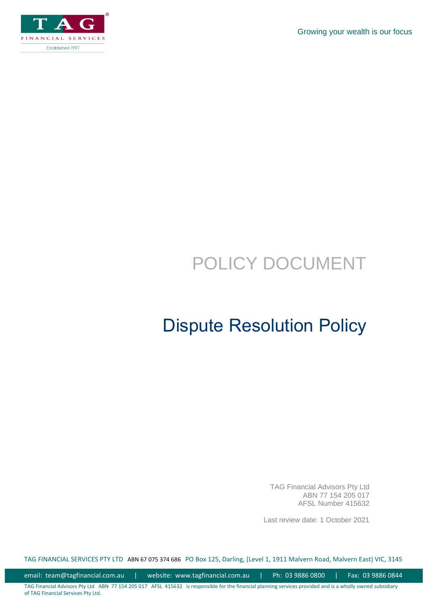Growing your wealth is our focus



# POLICY DOCUMENT

## Dispute Resolution Policy

TAG Financial Advisors Pty Ltd ABN 77 154 205 017 AFSL Number 415632

Last review date: 1 October 2021

TAG FINANCIAL SERVICES PTY LTD ABN 67 075 374 686 PO Box 125, Darling, (Level 1, 1911 Malvern Road, Malvern East) VIC, 3145

email: team@tagfinancial.com.au | website: www.tagfinancial.com.au | Ph: 03 9886 0800 | Fax: 03 9886 0844

TAG Financial Advisors Pty Ltd ABN 77 154 205 017 AFSL 415632 is responsible for the financial planning services provided and is a wholly owned subsidiary of TAG Financial Services Pty Ltd.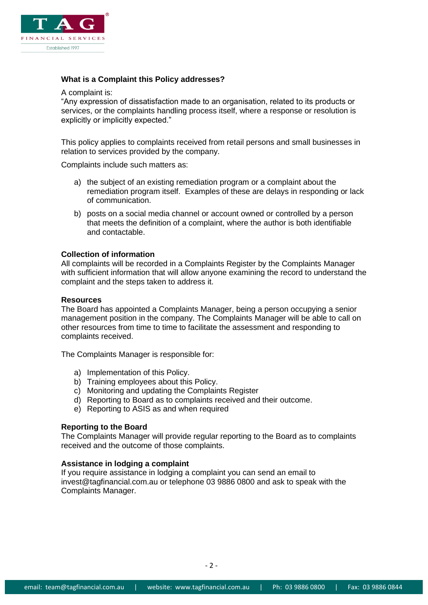

## **What is a Complaint this Policy addresses?**

A complaint is:

"Any expression of dissatisfaction made to an organisation, related to its products or services, or the complaints handling process itself, where a response or resolution is explicitly or implicitly expected."

This policy applies to complaints received from retail persons and small businesses in relation to services provided by the company.

Complaints include such matters as:

- a) the subject of an existing remediation program or a complaint about the remediation program itself. Examples of these are delays in responding or lack of communication.
- b) posts on a social media channel or account owned or controlled by a person that meets the definition of a complaint, where the author is both identifiable and contactable.

## **Collection of information**

All complaints will be recorded in a Complaints Register by the Complaints Manager with sufficient information that will allow anyone examining the record to understand the complaint and the steps taken to address it.

#### **Resources**

The Board has appointed a Complaints Manager, being a person occupying a senior management position in the company. The Complaints Manager will be able to call on other resources from time to time to facilitate the assessment and responding to complaints received.

The Complaints Manager is responsible for:

- a) Implementation of this Policy.
- b) Training employees about this Policy.
- c) Monitoring and updating the Complaints Register
- d) Reporting to Board as to complaints received and their outcome.
- e) Reporting to ASIS as and when required

## **Reporting to the Board**

The Complaints Manager will provide regular reporting to the Board as to complaints received and the outcome of those complaints.

#### **Assistance in lodging a complaint**

If you require assistance in lodging a complaint you can send an email to invest@tagfinancial.com.au or telephone 03 9886 0800 and ask to speak with the Complaints Manager.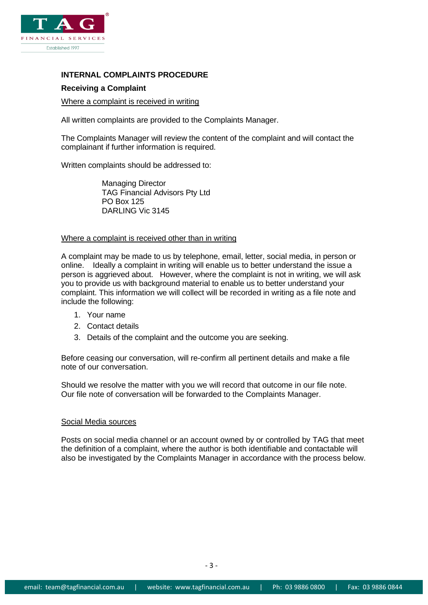

## **INTERNAL COMPLAINTS PROCEDURE**

## **Receiving a Complaint**

#### Where a complaint is received in writing

All written complaints are provided to the Complaints Manager.

The Complaints Manager will review the content of the complaint and will contact the complainant if further information is required.

Written complaints should be addressed to:

Managing Director TAG Financial Advisors Pty Ltd PO Box 125 DARLING Vic 3145

#### Where a complaint is received other than in writing

A complaint may be made to us by telephone, email, letter, social media, in person or online. Ideally a complaint in writing will enable us to better understand the issue a person is aggrieved about. However, where the complaint is not in writing, we will ask you to provide us with background material to enable us to better understand your complaint. This information we will collect will be recorded in writing as a file note and include the following:

- 1. Your name
- 2. Contact details
- 3. Details of the complaint and the outcome you are seeking.

Before ceasing our conversation, will re-confirm all pertinent details and make a file note of our conversation.

Should we resolve the matter with you we will record that outcome in our file note. Our file note of conversation will be forwarded to the Complaints Manager.

#### Social Media sources

Posts on social media channel or an account owned by or controlled by TAG that meet the definition of a complaint, where the author is both identifiable and contactable will also be investigated by the Complaints Manager in accordance with the process below.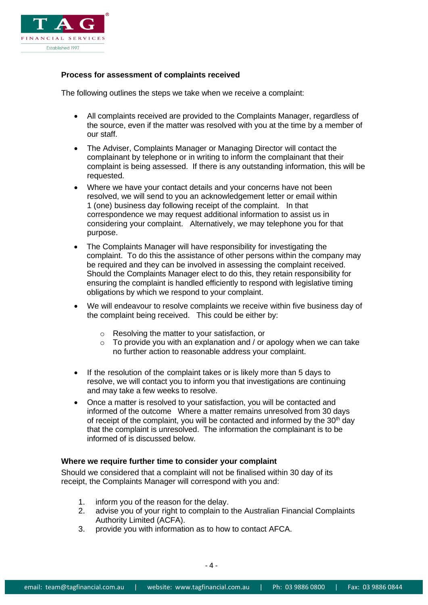

## **Process for assessment of complaints received**

The following outlines the steps we take when we receive a complaint:

- All complaints received are provided to the Complaints Manager, regardless of the source, even if the matter was resolved with you at the time by a member of our staff.
- The Adviser, Complaints Manager or Managing Director will contact the complainant by telephone or in writing to inform the complainant that their complaint is being assessed. If there is any outstanding information, this will be requested.
- Where we have your contact details and your concerns have not been resolved, we will send to you an acknowledgement letter or email within 1 (one) business day following receipt of the complaint. In that correspondence we may request additional information to assist us in considering your complaint. Alternatively, we may telephone you for that purpose.
- The Complaints Manager will have responsibility for investigating the complaint. To do this the assistance of other persons within the company may be required and they can be involved in assessing the complaint received. Should the Complaints Manager elect to do this, they retain responsibility for ensuring the complaint is handled efficiently to respond with legislative timing obligations by which we respond to your complaint.
- We will endeavour to resolve complaints we receive within five business day of the complaint being received. This could be either by:
	- o Resolving the matter to your satisfaction, or
	- $\circ$  To provide you with an explanation and / or apology when we can take no further action to reasonable address your complaint.
- If the resolution of the complaint takes or is likely more than 5 days to resolve, we will contact you to inform you that investigations are continuing and may take a few weeks to resolve.
- Once a matter is resolved to your satisfaction, you will be contacted and informed of the outcome Where a matter remains unresolved from 30 days of receipt of the complaint, you will be contacted and informed by the  $30<sup>th</sup>$  day that the complaint is unresolved. The information the complainant is to be informed of is discussed below.

## **Where we require further time to consider your complaint**

Should we considered that a complaint will not be finalised within 30 day of its receipt, the Complaints Manager will correspond with you and:

- 1. inform you of the reason for the delay.
- 2. advise you of your right to complain to the Australian Financial Complaints Authority Limited (ACFA).
- 3. provide you with information as to how to contact AFCA.